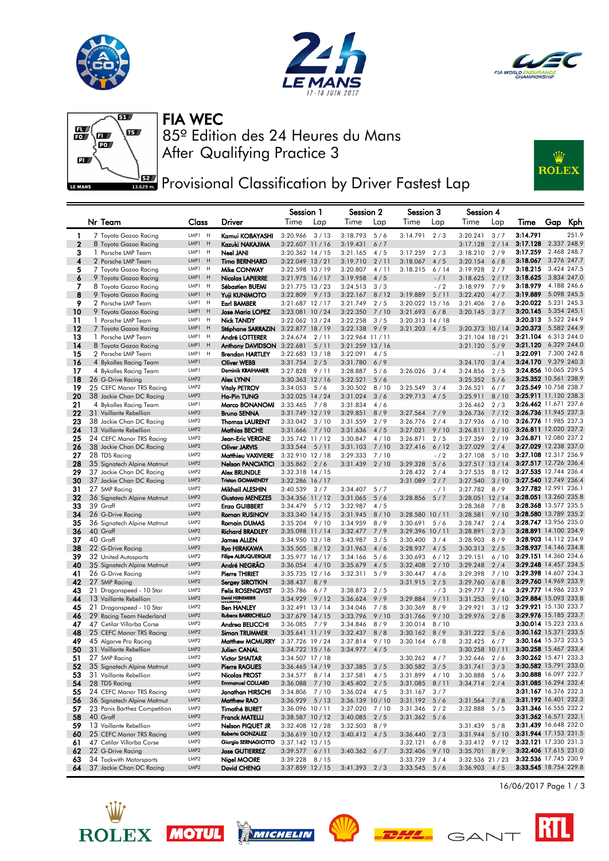





# FIA WEC



After Qualifying Practice 3 85º Edition des 24 Heures du Mans



## **PRET** Provisional Classification by Driver Fastest Lap

|              |                                                       |                                      |                                             | Session 1                                |      | Session 2                    |             | Session 3            |                | Session 4                          |              |                                                |             |                            |
|--------------|-------------------------------------------------------|--------------------------------------|---------------------------------------------|------------------------------------------|------|------------------------------|-------------|----------------------|----------------|------------------------------------|--------------|------------------------------------------------|-------------|----------------------------|
|              | Nr Team                                               | Class                                | Driver                                      | Time                                     | Lap  | Time                         | Lap         | Time                 | Lap            | Time                               | Lap          | Time                                           | Gap         | Kph                        |
| $\mathbf{1}$ | 7 Toyota Gazoo Racing                                 | LMP1 H                               | Kamui KOBAYASHI                             | 3:20.966                                 | 3/13 | 3:18.793                     | 5/6         | 3:14.791             | 2/3            | 3:20.241                           | 3/7          | 3:14.791                                       |             | 251.9                      |
| $\mathbf{2}$ | 8 Toyota Gazoo Racing                                 | LMP1 H                               | Kazuki NAKAJIMA                             | 3:22.607 11 / 16                         |      | 3:19.431                     | 6/7         |                      |                | 3:17.128                           | 2/14         | 3:17.128                                       |             | 2.337 248.9                |
| з            | 1 Porsche LMP Team                                    | LMP1<br>H                            | Neel JANI                                   | $3:20.362$ 14 / 15                       |      | 3:21.165                     | 4/5         | 3:17.259             | 2/3            | 3:18.210                           | 2/9          | 3:17.259                                       |             | 2.468 248.7                |
| 4            | 2 Porsche LMP Team                                    | LMP1<br>H                            | <b>Timo BERNHARD</b>                        | 3:22.049 13 / 21                         |      | 3:19.710                     | 2/11        | 3:18.067             | 4/5            | 3:20.154                           | 6/8          | 3:18.067                                       |             | 3.276 247.7                |
| 5            | 7 Toyota Gazoo Racing<br>9 Toyota Gazoo Racing        | LMP1<br>H<br>LMP1<br>H               | Mike CONWAY                                 | 3:22.598 13 / 19                         |      | 3:20.807                     | 4/11<br>4/5 | 3:18.215             | 6/14           | 3:19.928                           | 2/7          | 3:18.215<br>3:18.625                           |             | 3.424 247.5<br>3.834 247.0 |
| 6<br>7       | 8 Toyota Gazoo Racing                                 | LMP1<br>H                            | <b>Nicolas LAPIERRE</b><br>Sébastien BUEMI  | $3:21.975$ 16 / 17<br>$3:21.775$ 13 / 23 |      | 3:19.958<br>3:24.513         | 3/3         |                      | $-/1$<br>$-12$ | 3:18.625<br>3:18.979               | 2/17<br>7/9  | 3:18.979                                       |             | 4.188 246.6                |
| 8            | 9 Toyota Gazoo Racing                                 | LMP1<br>H                            | <b>Yuji KUNIMOTO</b>                        | 3:22.809                                 | 9/13 | 3:22.167                     | 8/12        | 3:19.889             | 5/11           | 3:22.420                           | 4/7          | 3:19.889                                       |             | 5.098 245.5                |
| 9            | 2 Porsche LMP Team                                    | LMP1<br>H                            | <b>Earl BAMBER</b>                          | $3:21.687$ 12 / 17                       |      | 3:21.749                     | 2/5         | 3:20.022 15 / 16     |                | 3:21.406                           | 2/6          | 3:20.022                                       |             | 5.231 245.3                |
| 10           | 9 Toyota Gazoo Racing                                 | LMP1<br>H                            | Jose Maria LOPEZ                            | 3:23.081 10 / 24                         |      | 3:22.350                     | 7/10        | 3:21.693             | 6/8            | 3:20.145                           | 3/7          | 3:20.145                                       | 5.354 245.1 |                            |
| 11           | 1 Porsche LMP Team                                    | LMP1<br>H                            | <b>Nick TANDY</b>                           | $3:22.062$ 13 / 24                       |      | 3:22.258                     | 3/5         | $3:20.313$ $14/18$   |                |                                    |              | 3:20.313                                       | 5.522 244.9 |                            |
| 12           | 7 Toyota Gazoo Racing                                 | LMP1<br>H                            | Stéphane SARRAZIN                           | $3:22.877$ 18 / 19                       |      | 3:22.138                     | 9/9         | 3:21.203             | 4/5            | 3:20.373 10 / 14                   |              | 3:20.373                                       |             | 5.582 244.9                |
| 13           | 1 Porsche LMP Team                                    | LMP1<br>H<br>LMP1<br>H               | André LOTTERER                              | 3:24.674                                 | 2/11 | 3:22.964 11 / 11             |             |                      |                | $3:21.104$ 18 / 21                 |              | 3:21.104<br>3:21.120                           |             | 6.313 244.0<br>6.329 244.0 |
| 14<br>15     | 8 Toyota Gazoo Racing<br>2 Porsche LMP Team           | LMP1<br>H                            | Anthony DAVIDSON<br><b>Brendon HARTLEY</b>  | 3:22.681<br>$3:22.683$ 13 / 18           | 5/11 | 3:21.259 13 / 16<br>3:22.091 | 4/5         |                      |                | 3:21.120                           | 5/9<br>$-/1$ | 3:22.091                                       |             | 7.300 242.8                |
| 16           | 4 Bykolles Racing Team                                | LMP1                                 | Oliver WEBB                                 | 3:31.754                                 | 2/5  | 3:31.780                     | 6/9         |                      |                | 3:24.170                           | 3/4          | 3:24.170                                       | 9.379 240.3 |                            |
| 17           | 4 Bykolles Racing Team                                | LMP1                                 | Dominik KRAIHAMER                           | 3:27.828                                 | 9/11 | 3:28.887                     | 5/6         | 3:26.026             | 3/4            | 3:24.856                           | 2/5          | 3:24.856 10.065 239.5                          |             |                            |
| 18           | 26 G-Drive Racing                                     | LMP <sub>2</sub>                     | Alex LYNN                                   | 3:30.363 12/16                           |      | 3:32.521                     | 5/6         |                      |                | 3:25.352                           | 5/6          | 3:25.352 10.561 238.9                          |             |                            |
| 19           | 25 CEFC Manor TRS Racing                              | LMP2                                 | <b>Vitaly PETROV</b>                        | 3:34.053                                 | 5/6  | 3:30.502                     | 8/10        | 3:25.549             | 3/4            | 3:26.521                           | 6/7          | 3:25.549 10.758 238.7                          |             |                            |
| 20           | 38 Jackie Chan DC Racing                              | LMP <sub>2</sub>                     | <b>Ho-Pin TUNG</b>                          | $3:32.025$ 14 / 24                       |      | 3:31.024                     | 3/6         | 3:29.713             | 4/5            | 3:25.911                           | 8/10         | 3:25.911 11.120 238.3                          |             |                            |
| 21           | 4 Bykolles Racing Team                                | LMP1                                 | Marco BONANOMI                              | 3:33.465                                 | 7/8  | 3:31.834                     | 4/6         |                      |                | 3:26.462                           | 2/3          | 3:26.462 11.671 237.6                          |             |                            |
| 22<br>23     | 31 Vaillante Rebellion<br>38 Jackie Chan DC Racing    | LMP <sub>2</sub><br>LMP2             | <b>Bruno SENNA</b><br><b>Thomas LAURENT</b> | 3:31.749 12 / 19<br>3:33.042             | 3/10 | 3:29.851<br>3:31.559         | 8/9<br>2/9  | 3:27.564<br>3:26.776 | 7/9<br>2/4     | 3:26.736<br>3:27.936               | 7/12<br>6/10 | 3:26.736 11.945 237.3<br>3:26.776 11.985 237.3 |             |                            |
| 24           | 13 Vaillante Rebellion                                | LMP <sub>2</sub>                     | Mathias BECHE                               | 3:31.666                                 | 7/10 | 3:31.636                     | 4/5         | 3:27.021             | 9/10           | 3:26.811                           | 2/10         | 3:26.811 12.020 237.2                          |             |                            |
| 25           | 24 CEFC Manor TRS Racing                              | LMP <sub>2</sub>                     | Jean-Eric VERGNE                            | 3:35.742 11/12                           |      | 3:30.847                     | 4/10        | 3:26.871             | 2/5            | 3:27.359                           | 2/19         | 3:26.871 12.080 237.2                          |             |                            |
| 26           | 38 Jackie Chan DC Racing                              | LMP <sub>2</sub>                     | Oliver JARVIS                               | 3:33.544                                 | 5/11 | 3:31.103                     | 7/10        | 3:27.416             | 6/12           | 3:27.029                           | 2/4          | 3:27.029 12.238 237.0                          |             |                            |
| 27           | 28 TDS Racing                                         | LMP2                                 | Matthieu VAXIVIERE                          | 3:32.910 12 / 18                         |      | 3:29.333                     | 7/10        |                      | $-12$          | 3:27.108                           | 5/10         | 3:27.108 12.317 236.9                          |             |                            |
| 28           | 35 Signatech Alpine Matmut                            | LMP <sub>2</sub>                     | Nelson PANCIATICI                           | 3:35.862                                 | 2/6  | 3:31.439                     | 2/10        | 3:29.328             | 5/6            | $3:27.517$ 13 / 14                 |              | 3:27.517 12.726 236.4                          |             |                            |
| 29           | 37 Jackie Chan DC Racing                              | LMP <sub>2</sub>                     | Alex BRUNDLE                                | $3:32.318$ 14 / 15                       |      |                              |             | 3:28.432             | 2/4            | 3:27.535                           | 8/12         | 3:27.535 12.744 236.4                          |             |                            |
| 30<br>31     | 37 Jackie Chan DC Racing<br>27 SMP Racing             | LMP <sub>2</sub><br>LMP2             | <b>Tristan GOMMENDY</b><br>Mikhail ALESHIN  | 3:32.286 16 / 17<br>3:40.539             | 3/7  | 3:34.407                     | 5/7         | 3:31.089             | 2/7<br>$-/1$   | 3:27.540<br>3:27.782               | 3/10<br>8/9  | 3:27.540 12.749 236.4<br>3:27.782 12.991 236.1 |             |                            |
| 32           | 36 Signatech Alpine Matmut                            | LMP <sub>2</sub>                     | <b>Gustavo MENEZES</b>                      | 3:34.356 11 / 12                         |      | 3:31.065                     | 5/6         | 3:28.856             | 5/7            | 3:28.051 12/14                     |              | 3:28.051 13.260 235.8                          |             |                            |
| 33           | 39 Graff                                              | LMP <sub>2</sub>                     | <b>Enzo GUIBBERT</b>                        | 3:34.479                                 | 5/12 | 3:32.987                     | 4/5         |                      |                | 3:28.368                           | 7/8          | 3:28.368 13.577 235.5                          |             |                            |
| 34           | 26 G-Drive Racing                                     | LMP <sub>2</sub>                     | Roman RUSINOV                               | $3:33.340$ 14 / 15                       |      | 3:31.945                     | 8/10        | 3:28.580             | 10/11          | 3:28.581                           | 9/10         | 3:28.580 13.789 235.2                          |             |                            |
| 35           | 36 Signatech Alpine Matmut                            | LMP2                                 | <b>Romain DUMAS</b>                         | 3:35.204                                 | 9/10 | 3:34.959                     | 8/9         | 3:30.691             | 5/6            | 3:28.747                           | 2/4          | 3:28.747 13.956 235.0                          |             |                            |
| 36           | 40 Graff                                              | LMP <sub>2</sub>                     | <b>Richard BRADLEY</b>                      | 3:35.098 11 / 14                         |      | 3:32.477                     | 7/9         | 3:29.396 10 / 11     |                | 3:28.891                           | 2/3          | 3:28.891 14.100 234.9                          |             |                            |
| 37           | 40 Graff                                              | LMP <sub>2</sub>                     | James ALLEN                                 | $3:34.950$ 13 / 18                       |      | 3:43.987                     | 3/5         | 3:30.400             | 3/4            | 3:28.903                           | 8/9          | 3:28.903 14.112 234.9                          |             |                            |
| 38<br>39     | 22 G-Drive Racing<br>32 United Autosports             | LMP <sub>2</sub><br>LMP2             | Ryo HIRAKAWA<br><b>Filipe ALBUQUERQUE</b>   | 3:35.505<br>$3:35.977$ 16 / 17           | 8/12 | 3:31.963<br>3:34.166         | 4/6<br>5/6  | 3:28.937<br>3:30.693 | 4/5<br>6/12    | 3:30.313<br>3:29.151               | 2/5<br>6/10  | 3:28.937 14.146 234.8<br>3:29.151 14.360 234.6 |             |                            |
| 40           | 35 Signatech Alpine Matmut                            | LMP <sub>2</sub>                     | André NEGRÃO                                | 3:36.054                                 | 4/10 | 3:35.679                     | 4/5         | 3:32.408             | 2/10           | 3:29.248                           | 2/4          | 3:29.248 14.457 234.5                          |             |                            |
| 41           | 26 G-Drive Racing                                     | LMP <sub>2</sub>                     | Pierre THIRIET                              | $3:35.735$ 12/16                         |      | 3:32.311                     | 5/9         | 3:30.447             | 4/6            | 3:29.398                           | 7/10         | 3:29.398 14.607 234.3                          |             |                            |
| 42           | 27 SMP Racing                                         | LMP <sub>2</sub>                     | Sergey SIROTKIN                             | 3:38.437                                 | 8/9  |                              |             | 3:31.915             | 2/5            | 3:29.760                           | 6/8          | 3:29.760 14.969 233.9                          |             |                            |
| 43           | 21 Dragonspeed - 10 Star                              | LMP2                                 | <b>Felix ROSENQVIST</b>                     | 3:35.786                                 | 6/7  | 3:38.873                     | 2/5         |                      | $-13$          | 3:29.777                           | 2/4          | 3:29.777 14.986 233.9                          |             |                            |
| 44           | 13 Vaillante Rebellion                                | LMP <sub>2</sub>                     | David HEINEMEIER                            | 3:34.929                                 | 9/12 | 3:36.624                     | 9/9         | 3:29.884             | 9/11           | 3:31.253                           | 9/10         | 3:29.884 15.093 233.8                          |             |                            |
| 45           | 21 Dragonspeed - 10 Star                              | LMP <sub>2</sub><br>LMP <sub>2</sub> | <b>Ben HANLEY</b><br>Rubens BARRICHELLO     | 3:32.491 13 / 14                         |      | 3:34.046                     | 7/8         | 3:30.369             | 8/9            | 3:29.921                           | 3/12         | 3:29.921 15.130 233.7<br>3:29.976 15.185 233.7 |             |                            |
| 46<br>47     | 29 Racing Team Nederland<br>47 Cetilar Villorba Corse | LMP <sub>2</sub>                     | Andrea BELICCHI                             | $3:37.679$ 14 / 15<br>3:36.085           | 7/9  | 3:33.796<br>3:34.846         | 9/10<br>8/9 | 3:31.766<br>3:30.014 | 9/10<br>8/10   | 3:29.976                           | 2/8          | 3:30.014 15.223 233.6                          |             |                            |
| 48           | 25 CEFC Manor TRS Racing                              | LMP <sub>2</sub>                     | <b>Simon TRUMMER</b>                        | 3:35.641 11 / 19                         |      | 3:32.437                     | 8/8         | 3:30.162             | 8/9            | 3:31.222                           | 5/6          | 3:30.162 15.371 233.5                          |             |                            |
| 49           | 45 Algarve Pro Racing                                 | LMP <sub>2</sub>                     | <b>Matthew MCMURRY</b>                      | 3:37.726 19 / 24                         |      | 3:37.814                     | 9/10        | 3:30.164             | 6/8            | 3:32.425                           | 6/7          | 3:30.164 15.373 233.5                          |             |                            |
| 50           | 31 Vaillante Rebellion                                | LMP <sub>2</sub>                     | Julien CANAL                                | $3:34.722$ 15 / 16                       |      | 3:34.977                     | 4/5         |                      |                | 3:30.258 10 / 11                   |              | 3:30.258 15.467 233.4                          |             |                            |
| 51           | 27 SMP Racing                                         | LMP <sub>2</sub>                     | <b>Victor SHAITAR</b>                       | 3:34.507 17 / 18                         |      |                              |             | 3:30.262             | 4/7            | 3:32.646                           | 2/6          | 3:30.262 15.471 233.3                          |             |                            |
| 52           | 35 Signatech Alpine Matmut                            | LMP2                                 | Pierre RAGUES                               | $3:36.465$ 14 / 19                       |      | 3:37.385                     | 3/5         | 3:30.582             | 3/5            | 3:31.741                           | 3/3          | 3:30.582 15.791 233.0                          |             |                            |
| 53           | 31 Vaillante Rebellion                                | LMP2<br>LMP2                         | Nicolas PROST<br>Emmanuel COLLARD           | $3:34.577$ 8/14                          |      | 3:37.581                     | 4/5         | $3:31.899$ 4/10      |                | 3:30.888                           | 5/6          | 3:30.888 16.097 232.7<br>3:31.085 16.294 232.4 |             |                            |
| 54<br>55     | 28 TDS Racing<br>24 CEFC Manor TRS Racing             | LMP2                                 | Jonathan HIRSCHI                            | 3:36.088<br>3:34.806 7/10                | 7/10 | 3:45.402<br>3:36.024         | 2/5<br>4/5  | 3:31.085<br>3:31.167 | 8/11<br>3/7    | 3:34.714                           | 2/4          | 3:31.167 16.376 232.3                          |             |                            |
| 56           | 36 Signatech Alpine Matmut                            | LMP2                                 | Matthew RAO                                 | $3:36.929$ $5/13$                        |      | 3:36.139 10 / 10             |             | 3:31.192             | 5/6            | 3:31.564                           | 7/8          | 3:31.192 16.401 232.3                          |             |                            |
| 57           | 23 Panis Barthez Competition                          | LMP2                                 | <b>Timothé BURET</b>                        | 3:36.096 10 / 11                         |      | 3:37.020                     | 7/10        | 3:31.346             | 2/2            | 3:32.888                           | 5/5          | 3:31.346 16.555 232.2                          |             |                            |
| 58           | 40 Graff                                              | LMP2                                 | <b>Franck MATELLI</b>                       | 3:38.587 10 / 12                         |      | 3:40.085                     | 2/5         | $3:31.362$ 5/6       |                |                                    |              | 3:31.362 16.571 232.1                          |             |                            |
| 59           | 13 Vaillante Rebellion                                | LMP2                                 | Nelson PIQUET JR                            | 3:32.408 12 / 28                         |      | 3:32.503                     | 8/9         |                      |                | 3:31.439                           | 5/8          | 3:31.439 16.648 232.0                          |             |                            |
| 60           | 25 CEFC Manor TRS Racing                              | LMP <sub>2</sub>                     | Roberto GONZALEZ                            | 3:36.619 10/12                           |      | $3:40.412$ 4/5               |             | 3:36.440             | 2/3            | 3:31.944                           | 5/10         | 3:31.944 17.153 231.5                          |             |                            |
| 61           | 47 Cetilar Villorba Corse                             | LMP2                                 | Giorgio SERNAGIOTTO                         | 3:37.142 13 / 15                         |      |                              |             | 3:32.121             | 6/8            | $3:33.412$ 9/12                    |              | 3:32.121 17.330 231.3                          |             |                            |
| 62           | 22 G-Drive Racing                                     | LMP <sub>2</sub><br>LMP2             | <b>Jose GUTIERREZ</b>                       | $3:39.577$ 6/11                          |      | 3:40.362                     | 6/7         | 3:32.406             | 9/10           | $3:35.701$ 8/9                     |              | 3:32.406 17.615 231.0<br>3:32.536 17.745 230.9 |             |                            |
| 63<br>64     | 34 Tockwith Motorsports<br>37 Jackie Chan DC Racing   | LMP <sub>2</sub>                     | Nigel MOORE<br>David CHENG                  | $3:39.228$ $8/15$<br>3:37.859 12 / 15    |      | $3:41.393$ 2/3               |             | 3:33.739<br>3:33.545 | 3/4<br>5/6     | 3:32.536 21 / 23<br>$3:36.903$ 4/5 |              | 3:33.545 18.754 229.8                          |             |                            |
|              |                                                       |                                      |                                             |                                          |      |                              |             |                      |                |                                    |              |                                                |             |                            |













16/06/2017 Page 1 / 3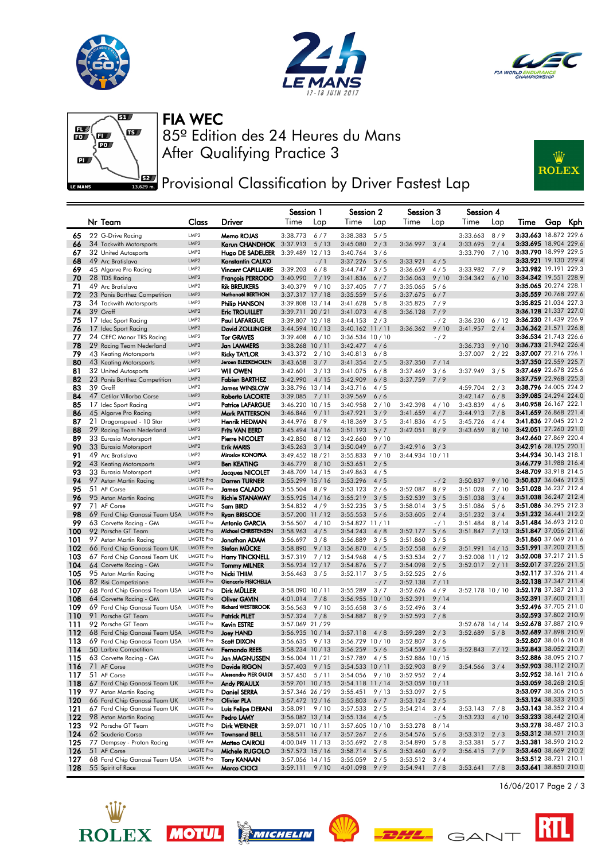





### FIA WEC



After Qualifying Practice 3 85º Edition des 24 Heures du Mans



## **PRET** Provisional Classification by Driver Fastest Lap

|            |                                                          |                                      |                                                      | Session 1                                |             | Session 2                              |              | Session 3                        |               | Session 4            |             |                 |                                                |
|------------|----------------------------------------------------------|--------------------------------------|------------------------------------------------------|------------------------------------------|-------------|----------------------------------------|--------------|----------------------------------|---------------|----------------------|-------------|-----------------|------------------------------------------------|
|            | Nr Team                                                  | Class                                | Driver                                               | Time                                     | Lap         | Time                                   | Lap          | Time                             | Lap           | Time                 | Lap         | Time            | Gap<br>Kph                                     |
| 65         | 22 G-Drive Racing                                        | LMP2                                 | Memo ROJAS                                           | 3:38.773                                 | 6/7         | 3:38.383                               | 5/5          |                                  |               | 3:33.663             | 8/9         |                 | 3:33.663 18.872 229.6                          |
| 66         | 34 Tockwith Motorsports                                  | LMP <sub>2</sub>                     | Karun CHANDHOK                                       | 3:37.913                                 | 5/13        | 3:45.080                               | 2/3          | 3:36.997                         | 3/4           | 3:33.695             | 2/4         |                 | 3:33.695 18.904 229.6                          |
| 67         | 32 United Autosports                                     | LMP <sub>2</sub>                     | Hugo DE SADELEER                                     | 3:39.489                                 | 12/13       | 3:40.764                               | 3/6          |                                  |               | 3:33.790             | 7/10        |                 | 3:33.790 18.999 229.5                          |
| 68         | 49 Arc Bratislava                                        | LMP2                                 | Konstantin CALKO                                     |                                          | $-/1$       | 3:37.226                               | 5/6          | 3:33.921                         | 4/5           |                      |             | 3:33.982 19.191 | 3:33.921 19.130 229.4<br>229.3                 |
| 69<br>70   | 45 Algarve Pro Racing<br>28 TDS Racing                   | LMP <sub>2</sub><br>LMP <sub>2</sub> | <b>Vincent CAPILLAIRE</b><br><b>François PERRODO</b> | 3:39.203<br>3:40.990                     | 6/8<br>7/19 | 3:44.747<br>3:41.836                   | 3/5<br>6/7   | 3:36.659<br>3:36.063             | 4/5<br>9/10   | 3:33.982<br>3:34.342 | 7/9<br>6/10 | 3:34.342 19.551 | 228.9                                          |
| 71         | 49 Arc Bratislava                                        | LMP <sub>2</sub>                     | <b>Rik BREUKERS</b>                                  | 3:40.379                                 | 9/10        | 3:37.405                               | 7/7          | 3:35.065                         | 5/6           |                      |             |                 | 3:35.065 20.274 228.1                          |
| 72         | 23 Panis Barthez Competition                             | LMP <sub>2</sub>                     | Nathanaël BERTHON                                    | $3:37.317$ $17/18$                       |             | 3:35.559                               | 5/6          | 3:37.675                         | 6/7           |                      |             |                 | 3:35.559 20.768 227.6                          |
| 73         | 34 Tockwith Motorsports                                  | LMP <sub>2</sub>                     | Philip HANSON                                        | 3:39.808 13 / 14                         |             | 3:41.628                               | 5/8          | 3:35.825                         | 7/9           |                      |             |                 | 3:35.825 21.034 227.3                          |
| 74         | 39 Graff                                                 | LMP <sub>2</sub>                     | <b>Eric TROUILLET</b>                                | 3:39.711 20 / 21                         |             | 3:41.073                               | 4/8          | 3:36.128                         | 7/9           |                      |             |                 | 3:36.128 21.337 227.0                          |
| 75         | 17 Idec Sport Racing                                     | LMP <sub>2</sub>                     | <b>Paul LAFARGUE</b>                                 | 3:39.807 12 / 18                         |             | 3:44.153                               | 2/3          |                                  | $-$ / 2       | 3:36.230             | 6/12        |                 | 3:36.230 21.439 226.9<br>3:36.362 21.571 226.8 |
| 76<br>77   | 17 Idec Sport Racing<br>24 CEFC Manor TRS Racing         | LMP2<br>LMP <sub>2</sub>             | <b>David ZOLLINGER</b><br><b>Tor GRAVES</b>          | $3:44.594$ 10 / 13<br>3:39.408           | 6/10        | $3:40.162$ 11 / 11<br>3:36.534 10 / 10 |              | 3:36.362                         | 9/10<br>$-12$ | 3:41.957             | 2/4         |                 | 3:36.534 21.743 226.6                          |
| 78         | 29 Racing Team Nederland                                 | LMP <sub>2</sub>                     | Jan LAMMERS                                          | 3:38.268 10 / 11                         |             | 3:42.477                               | 4/6          |                                  |               | 3:36.733             | 9/10        |                 | 3:36.733 21.942 226.4                          |
| 79         | 43 Keating Motorsports                                   | LMP <sub>2</sub>                     | <b>Ricky TAYLOR</b>                                  | 3:43.372                                 | 2/10        | 3:40.813                               | 6/8          |                                  |               | 3:37.007             | 2/22        |                 | 3:37.007 22.216 226.1                          |
| 80         | 43 Keating Motorsports                                   | LMP2                                 | Jeroen BLEEKEMOLEN                                   | 3:43.658                                 | 3/7         | 3:41.354                               | 2/5          | 3:37.350                         | 7/14          |                      |             |                 | 3:37.350 22.559 225.7                          |
| 81         | 32 United Autosports                                     | LMP <sub>2</sub>                     | <b>Will OWEN</b>                                     | 3:42.601                                 | 3/13        | 3:41.075                               | 6/8          | 3:37.469                         | 3/6           | 3:37.949             | 3/5         |                 | 3:37.469 22.678 225.6                          |
| 82         | 23 Panis Barthez Competition                             | LMP <sub>2</sub>                     | <b>Fabien BARTHEZ</b>                                | 3:42.990                                 | 4/15        | 3:42.909                               | 6/8          | 3:37.759                         | 7/9           |                      |             |                 | 3:37.759 22.968 225.3                          |
| 83         | 39 Graff                                                 | LMP <sub>2</sub>                     | James WINSLOW                                        | 3:38.796 13 / 14                         |             | 3:43.716                               | 4/5          |                                  |               | 4:59.704             | 2/3         |                 | 3:38.796 24.005 224.2                          |
| 84         | 47 Cetilar Villorba Corse<br>17 Idec Sport Racing        | LMP2<br>LMP <sub>2</sub>             | <b>Roberto LACORTE</b>                               | 3:39.085                                 | 7/11        | 3:39.569                               | 6/6<br>2/10  |                                  | 4/10          | 3:42.147             | 6/8<br>4/6  |                 | 3:39.085 24.294 224.0<br>3:40.958 26.167 222.1 |
| 85<br>86   | 45 Algarve Pro Racing                                    | LMP <sub>2</sub>                     | <b>Patrice LAFARGUE</b><br>Mark PATTERSON            | 3:46.220 10 / 15<br>3:46.846             | 9/11        | 3:40.958<br>3:47.921                   | 3/9          | 3:42.398<br>3:41.659             | 4/7           | 3:43.839<br>3:44.913 | 7/8         |                 | 3:41.659 26.868 221.4                          |
| 87         | 21 Dragonspeed - 10 Star                                 | LMP <sub>2</sub>                     | Henrik HEDMAN                                        | 3:44.976                                 | 8/9         | 4:18.369                               | 3/5          | 3:41.836                         | 4/5           | 3:45.726             | 4/4         |                 | 3:41.836 27.045 221.2                          |
| 88         | 29 Racing Team Nederland                                 | LMP2                                 | <b>Frits VAN EERD</b>                                | $3:45.494$ 14 / 16                       |             | 3:51.193                               | 5/7          | 3:42.051                         | 8/9           | 3:43.659             | 8/10        |                 | 3:42.051 27.260 221.0                          |
| 89         | 33 Eurasia Motorsport                                    | LMP <sub>2</sub>                     | Pierre NICOLET                                       | 3:42.850                                 | 8/12        | 3:42.660                               | 9/10         |                                  |               |                      |             |                 | 3:42.660 27.869 220.4                          |
| 90         | 33 Eurasia Motorsport                                    | LMP <sub>2</sub>                     | <b>Erik MARIS</b>                                    | 3:45.263                                 | 3/14        | 3:50.049                               | 6/7          | 3:42.916                         | 3/3           |                      |             |                 | 3:42.916 28.125 220.1                          |
| 91         | 49 Arc Bratislava                                        | LMP <sub>2</sub>                     | Miroslav KONOPKA                                     | 3:49.452 18 / 21                         |             | 3:55.833                               | 9/10         | 3:44.934 10 / 11                 |               |                      |             |                 | 3:44.934 30.143 218.1<br>3:46.779 31.988 216.4 |
| 92<br>93   | 43 Keating Motorsports<br>33 Eurasia Motorsport          | LMP <sub>2</sub><br>LMP <sub>2</sub> | <b>Ben KEATING</b><br>Jacques NICOLET                | 3:46.779<br>$3:48.709$ 14 / 15           | 8/10        | 3:53.651<br>3:49.863                   | 2/5<br>4/5   |                                  |               |                      |             |                 | 3:48.709 33.918 214.5                          |
| 94         | 97 Aston Martin Racing                                   | <b>LMGTE Pro</b>                     | <b>Darren TURNER</b>                                 | $3:55.299$ 15 / 16                       |             | 3:53.296                               | 4/5          |                                  | $-12$         | 3:50.837             | 9/10        |                 | 3:50.837 36.046 212.5                          |
| 95         | 51 AF Corse                                              | <b>LMGTE Pro</b>                     | James CALADO                                         | 3:55.504                                 | 8/9         | 3:53.123                               | 2/6          | 3:52.087                         | 8/9           | 3:51.028             | 7/10        |                 | 3:51.028 36.237 212.4                          |
| 96         | 95 Aston Martin Racing                                   | <b>LMGTE Pro</b>                     | <b>Richie STANAWAY</b>                               | 3:55.925                                 | 14/16       | 3:55.219                               | 3/5          | 3:52.539                         | 3/5           | 3:51.038             | 3/4         |                 | 3:51.038 36.247 212.4                          |
| 97         | 71 AF Corse                                              | <b>LMGTE Pro</b>                     | Sam BIRD                                             | 3:54.832                                 | 4/9         | 3:52.235                               | 3/5          | 3:58.014                         | 3/5           | 3:51.086             | 5/6         |                 | 3:51.086 36.295 212.3                          |
| 98         | 69 Ford Chip Ganassi Team USA                            | <b>LMGTE Pro</b>                     | <b>Ryan BRISCOE</b>                                  | 3:57.200 11 / 12                         |             | 3:55.553                               | 5/6          | 3:53.605                         | 2/4           | 3:51.232             | 3/4         |                 | 3:51.232 36.441 212.2                          |
| 99         | 63 Corvette Racing - GM                                  | <b>LMGTE Pro</b><br><b>LMGTE Pro</b> | <b>Antonio GARCIA</b><br>Michael CHRISTENSEN         | 3:56.507                                 | 4/10        | 3:54.827 11 / 11                       |              |                                  | $-/1$         | 3:51.484             | 8/14        |                 | 3:51.484 36.693 212.0<br>3:51.847 37.056 211.6 |
| 100<br>101 | 92 Porsche GT Team<br>97 Aston Martin Racing             | LMGTE Pro                            | Jonathan ADAM                                        | 3:58.963<br>3:56.697                     | 4/5<br>3/8  | 3:54.243<br>3:56.889                   | 4/8<br>3/5   | 3:52.177<br>3:51.860             | 5/6<br>3/5    | 3:51.847             | 7/13        |                 | 3:51.860 37.069 211.6                          |
| 102        | 66 Ford Chip Ganassi Team UK                             | <b>LMGTE Pro</b>                     | <b>Stefan MUCKE</b>                                  | 3:58.890                                 | 9/13        | 3:56.870                               | 4/5          | 3:52.558                         | 6/9           | $3:51.991$ 14 / 15   |             |                 | 3:51.991 37.200 211.5                          |
| 103        | 67 Ford Chip Ganassi Team UK                             | <b>LMGTE Pro</b>                     | <b>Harry TINCKNELL</b>                               | 3:57.319                                 | 7/12        | 3:54.968                               | 4/5          | 3:53.534                         | 2/7           | 3:52.008 11 / 12     |             |                 | 3:52.008 37.217 211.5                          |
| 104        | 64 Corvette Racing - GM                                  | <b>LMGTE Pro</b>                     | <b>Tommy MILNER</b>                                  | 3:56.934 12 / 17                         |             | 3:54.876                               | 5/7          | 3:54.098                         | 2/5           | 3:52.017             | 2/11        |                 | 3:52.017 37.226 211.5                          |
| 105        | 95 Aston Martin Racing                                   | <b>LMGTE Pro</b>                     | Nicki THIIM                                          | 3:56.463                                 | 3/5         | 3:52.117                               | 3/5          | 3:52.525                         | 2/6           |                      |             |                 | 3:52.117 37.326 211.4                          |
| 106        | 82 Risi Competizione                                     | <b>LMGTE Pro</b>                     | Giancarlo FISICHELLA                                 |                                          |             |                                        | $-17$        | 3:52.138                         | 7/11          |                      |             |                 | 3:52.138 37.347 211.4                          |
| 107<br>108 | 68 Ford Chip Ganassi Team USA<br>64 Corvette Racing - GM | LMGTE Pro<br>LMGTE Pro               | Dirk MÜLLER<br><b>Oliver GAVIN</b>                   | 3:58.090 10 / 11<br>4:01.014             | 7/8         | 3:55.289<br>3:56.955                   | 3/7<br>10/10 | 3:52.626<br>3:52.391             | 4/9<br>9/14   | 3:52.178 10 / 10     |             |                 | 3:52.178 37.387 211.3<br>3:52.391 37.600 211.1 |
| 109        | 69 Ford Chip Ganassi Team USA                            | LMGTE Pro                            | <b>Richard WESTBROOK</b>                             | 3:56.563                                 | 9/10        | 3:55.658                               | 3/6          | 3:52.496                         | 3/4           |                      |             |                 | 3:52.496 37.705 211.0                          |
| 110        | 91 Porsche GT Team                                       | <b>LMGTE Pro</b>                     | <b>Patrick PILET</b>                                 | 3:57.324                                 | 7/8         | 3:54.887                               | 8/9          | 3:52.593                         | 7/8           |                      |             |                 | 3:52.593 37.802 210.9                          |
| 111        | 92 Porsche GT Team                                       | <b>LMGTE Pro</b>                     | <b>Kevin ESTRE</b>                                   | 3:57.069 21 / 29                         |             |                                        |              |                                  |               | $3:52.678$ 14 / 14   |             |                 | 3:52.678 37.887 210.9                          |
| 112        | 68 Ford Chip Ganassi Team USA                            | <b>LMGTE Pro</b>                     | Joey HAND                                            | 3:56.935 10 / 14                         |             | 3:57.118                               | 4/8          | 3:59.289                         | 2/3           | 3:52.689             | 5/8         |                 | 3:52.689 37.898 210.9                          |
| 113        | 69 Ford Chip Ganassi Team USA                            | <b>LMGTE Pro</b>                     | Scott DIXON                                          | 3:56.635                                 | 9/13        | 3:56.729                               | 10/10        | 3:52.807                         | 3/6           |                      |             |                 | 3:52.807 38.016 210.8                          |
| 114        | 50 Larbre Competition                                    | LMGTE Am<br><b>LMGTE Pro</b>         | <b>Fernando REES</b>                                 | $3:58.234$ 10 / 13                       |             | 3:56.259                               | 5/6          | 3:54.559                         | 4/5           | 3:52.843             | 7/12        |                 | 3:52.843 38.052 210.7<br>3:52.886 38.095 210.7 |
| 115<br>116 | 63 Corvette Racing - GM                                  | LMGTE Pro                            | <b>Jan MAGNUSSEN</b><br>Davide RIGON                 | 3:56.004 11 / 21                         |             | 3:57.789                               | 4/5          | 3:52.886 10 / 15                 |               |                      |             |                 | 3:52.903 38.112 210.7                          |
| 117        | 71 AF Corse<br>51 AF Corse                               | LMGTE Pro                            | Alessandro PIER GUIDI                                | $3:57.403$ 9/15<br>$3:57.450$ $5/11$     |             | $3:54.533$ 10 / 11<br>3:54.056         | 9/10         | $3:52.903$ 8/9<br>$3:52.952$ 2/4 |               | $3:54.566$ $3/4$     |             |                 | 3:52.952 38.161 210.6                          |
| 118        | 67 Ford Chip Ganassi Team UK                             | <b>LMGTE Pro</b>                     | Andy PRIAULX                                         | 3:59.701 10 / 15                         |             | 3:54.118 11 / 14                       |              | 3:53.059 10 / 11                 |               |                      |             |                 | 3:53.059 38.268 210.5                          |
| 119        | 97 Aston Martin Racing                                   | LMGTE Pro                            | <b>Daniel SERRA</b>                                  | 3:57.346 26 / 29                         |             | 3:55.451                               | 9/13         | 3:53.097                         | 2/5           |                      |             |                 | 3:53.097 38.306 210.5                          |
| 120        | 66 Ford Chip Ganassi Team UK                             | <b>LMGTE Pro</b>                     | Olivier PLA                                          | $3:57.472$ 12 / 16                       |             | 3:55.803                               | $6/7$        | 3:53.124                         | 2/5           |                      |             |                 | 3:53.124 38.333 210.5                          |
| 121        | 67 Ford Chip Ganassi Team UK                             | <b>LMGTE Pro</b>                     | Luis Felipe DERANI                                   | $3:58.091$ $9/10$                        |             | 3:57.533                               | 2/5          | 3:54.214                         | 3/4           | $3:53.143$ 7/8       |             |                 | 3:53.143 38.352 210.4                          |
| 122        | 98 Aston Martin Racing                                   | LMGTE Am                             | Pedro LAMY                                           | $3:56.082$ 13 / 14                       |             | 3:55.134                               | 4/5          |                                  | $- / 5$       | $3:53.233$ 4/10      |             |                 | 3:53.233 38.442 210.4                          |
| 123<br>124 | 92 Porsche GT Team<br>62 Scuderia Corsa                  | <b>LMGTE Pro</b><br>LMGTE Am         | <b>Dirk WERNER</b><br><b>Townsend BELL</b>           | $3:59.071$ 10 / 11<br>$3:58.511$ 16 / 17 |             | 3:57.605 10 / 10<br>3:57.267           | 2/6          | 3:53.278<br>3:54.576             | 8/14<br>5/6   | $3:53.312$ 2/3       |             |                 | 3:53.278 38.487 210.3<br>3:53.312 38.521 210.3 |
| 125        | 77 Dempsey - Proton Racing                               | LMGTE Am                             | Matteo CAIROLI                                       | 4:00.049 11 / 13                         |             | 3:55.692                               | 2/8          | 3:54.890                         | 5/8           | 3:53.381             | 5/7         |                 | 3:53.381 38.590 210.2                          |
| 126        | 51 AF Corse                                              | <b>LMGTE Pro</b>                     | Michele RUGOLO                                       | $3:57.573$ 15 / 16                       |             | 3:58.714                               | 5/6          | 3:53.460                         | 6/9           | $3:56.415$ 7/9       |             |                 | 3:53.460 38.669 210.2                          |
| 127        | 68 Ford Chip Ganassi Team USA                            | LMGTE Pro                            | <b>Tony KANAAN</b>                                   | $3:57.056$ 14 / 15                       |             | 3:55.059                               | 2/5          | 3:53.512                         | 3/4           |                      |             |                 | 3:53.512 38.721 210.1                          |
| 128        | 55 Spirit of Race                                        | LMGTE Am                             | Marco CIOCI                                          | $3:59.111$ $9/10$                        |             | 4:01.098 9/9                           |              | $3:54.941$ 7/8                   |               | $3:53.641$ 7/8       |             |                 | 3:53.641 38.850 210.0                          |













16/06/2017 Page 2 / 3